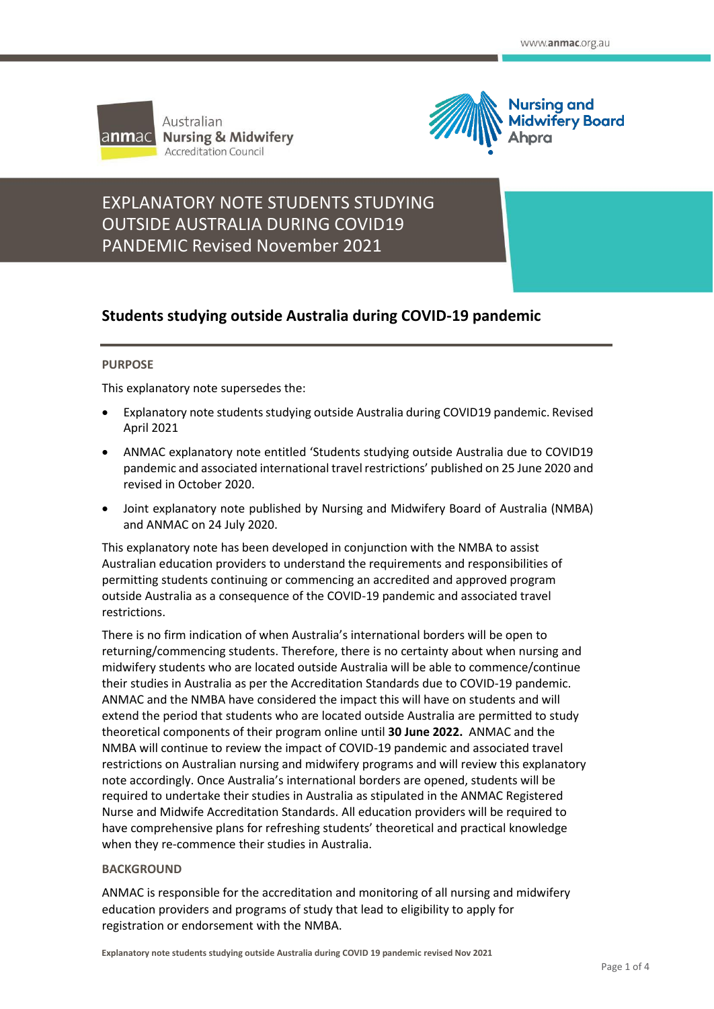

Australian **Nursing & Midwifery Accreditation Council** 



# **STANDEMIC Revised November 2021** EXPLANATORY NOTE STUDENTS STUDYING OUTSIDE AUSTRALIA DURING COVID19

# **Students studying outside Australia during COVID-19 pandemic**

# **PURPOSE**

This explanatory note supersedes the:

- Explanatory note students studying outside Australia during COVID19 pandemic. Revised April 2021
- ANMAC explanatory note entitled 'Students studying outside Australia due to COVID19 pandemic and associated international travel restrictions' published on 25 June 2020 and revised in October 2020.
- Joint explanatory note published by Nursing and Midwifery Board of Australia (NMBA) and ANMAC on 24 July 2020.

This explanatory note has been developed in conjunction with the NMBA to assist Australian education providers to understand the requirements and responsibilities of permitting students continuing or commencing an accredited and approved program outside Australia as a consequence of the COVID-19 pandemic and associated travel restrictions.

There is no firm indication of when Australia's international borders will be open to returning/commencing students. Therefore, there is no certainty about when nursing and midwifery students who are located outside Australia will be able to commence/continue their studies in Australia as per the Accreditation Standards due to COVID-19 pandemic. ANMAC and the NMBA have considered the impact this will have on students and will extend the period that students who are located outside Australia are permitted to study theoretical components of their program online until **30 June 2022.** ANMAC and the NMBA will continue to review the impact of COVID-19 pandemic and associated travel restrictions on Australian nursing and midwifery programs and will review this explanatory note accordingly. Once Australia's international borders are opened, students will be required to undertake their studies in Australia as stipulated in the ANMAC Registered Nurse and Midwife Accreditation Standards. All education providers will be required to have comprehensive plans for refreshing students' theoretical and practical knowledge when they re-commence their studies in Australia.

# **BACKGROUND**

ANMAC is responsible for the accreditation and monitoring of all nursing and midwifery education providers and programs of study that lead to eligibility to apply for registration or endorsement with the NMBA.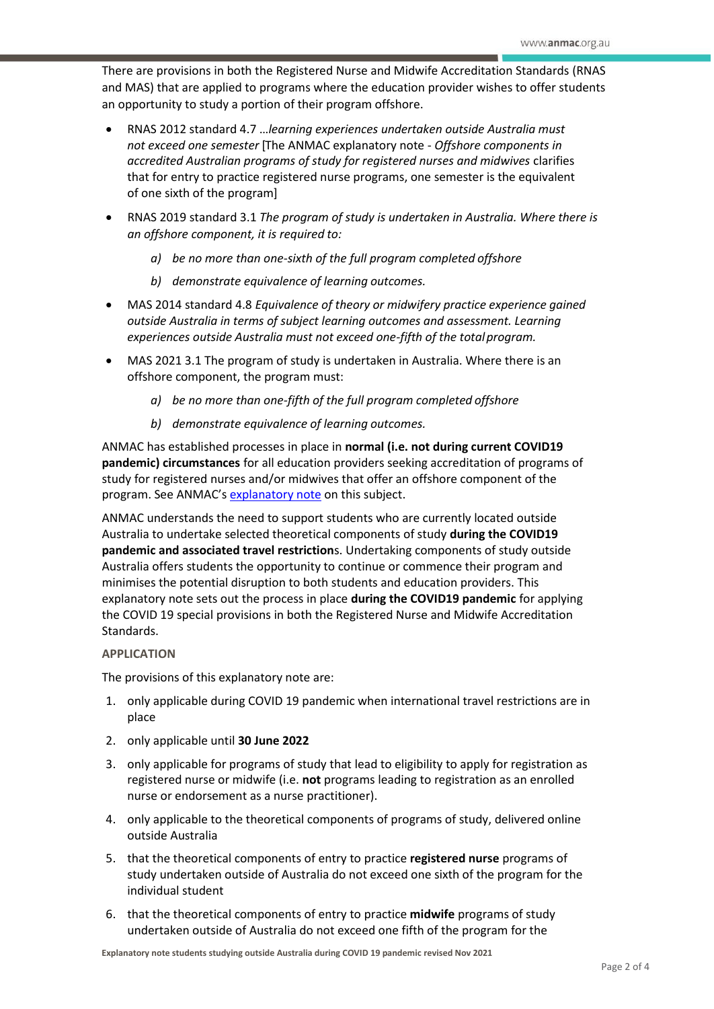There are provisions in both the Registered Nurse and Midwife Accreditation Standards (RNAS and MAS) that are applied to programs where the education provider wishes to offer students an opportunity to study a portion of their program offshore.

- RNAS 2012 standard 4.7 …*learning experiences undertaken outside Australia must not exceed one semester* [The ANMAC explanatory note - *Offshore components in accredited Australian programs of study for registered nurses and midwives* clarifies that for entry to practice registered nurse programs, one semester is the equivalent of one sixth of the program]
- RNAS 2019 standard 3.1 *The program of study is undertaken in Australia. Where there is an offshore component, it is required to:*
	- *a) be no more than one-sixth of the full program completed offshore*
	- *b) demonstrate equivalence of learning outcomes.*
- MAS 2014 standard 4.8 *Equivalence of theory or midwifery practice experience gained outside Australia in terms of subject learning outcomes and assessment. Learning experiences outside Australia must not exceed one-fifth of the totalprogram.*
- MAS 2021 3.1 The program of study is undertaken in Australia. Where there is an offshore component, the program must:
	- *a) be no more than one-fifth of the full program completed offshore*
	- *b) demonstrate equivalence of learning outcomes.*

ANMAC has established processes in place in **normal (i.e. not during current COVID19 pandemic) circumstances** for all education providers seeking accreditation of programs of study for registered nurses and/or midwives that offer an offshore component of the program. See ANMAC's [explanatory note](https://www.anmac.org.au/sites/default/files/documents/offshore_components_in_accredited_australian_programs_of_study_for_nurses_and_midwives_0.pdf) on this subject.

ANMAC understands the need to support students who are currently located outside Australia to undertake selected theoretical components of study **during the COVID19 pandemic and associated travel restriction**s. Undertaking components of study outside Australia offers students the opportunity to continue or commence their program and minimises the potential disruption to both students and education providers. This explanatory note sets out the process in place **during the COVID19 pandemic** for applying the COVID 19 special provisions in both the Registered Nurse and Midwife Accreditation Standards.

# **APPLICATION**

The provisions of this explanatory note are:

- 1. only applicable during COVID 19 pandemic when international travel restrictions are in place
- 2. only applicable until **30 June 2022**
- 3. only applicable for programs of study that lead to eligibility to apply for registration as registered nurse or midwife (i.e. **not** programs leading to registration as an enrolled nurse or endorsement as a nurse practitioner).
- 4. only applicable to the theoretical components of programs of study, delivered online outside Australia
- 5. that the theoretical components of entry to practice **registered nurse** programs of study undertaken outside of Australia do not exceed one sixth of the program for the individual student
- 6. that the theoretical components of entry to practice **midwife** programs of study undertaken outside of Australia do not exceed one fifth of the program for the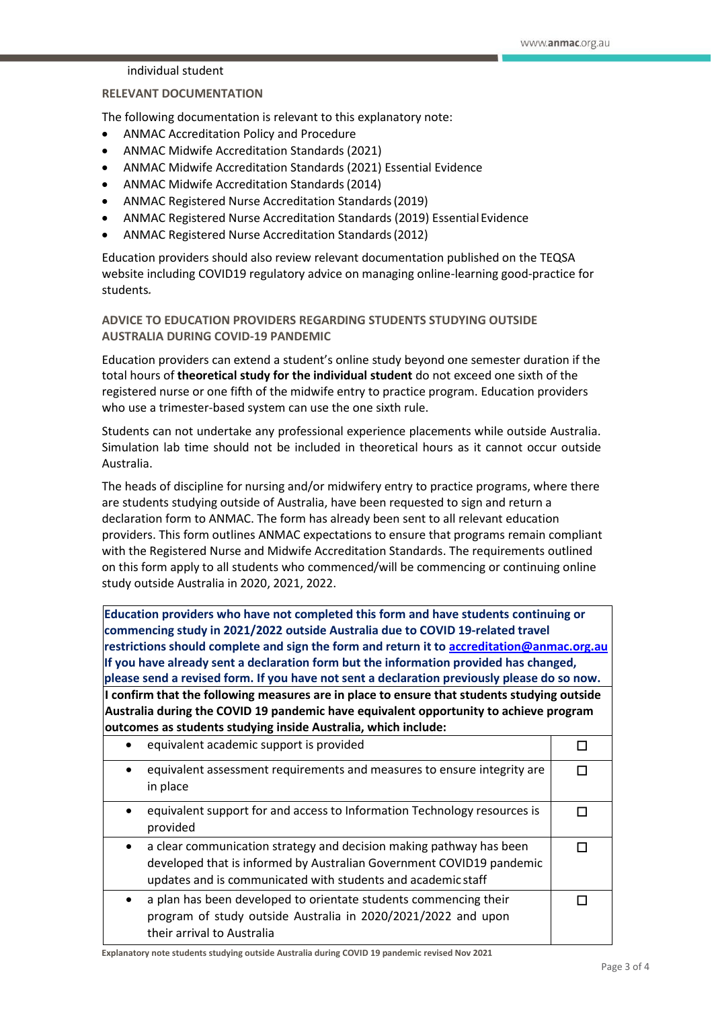### individual student

### **RELEVANT DOCUMENTATION**

The following documentation is relevant to this explanatory note:

- ANMAC Accreditation Policy and Procedure
- ANMAC Midwife Accreditation Standards (2021)
- ANMAC Midwife Accreditation Standards (2021) Essential Evidence
- ANMAC Midwife Accreditation Standards(2014)
- ANMAC Registered Nurse Accreditation Standards(2019)
- ANMAC Registered Nurse Accreditation Standards (2019) EssentialEvidence
- ANMAC Registered Nurse Accreditation Standards(2012)

Education providers should also review relevant documentation published on the TEQSA website including COVID19 regulatory advice on managing online-learning good-practice for students*.*

# **ADVICE TO EDUCATION PROVIDERS REGARDING STUDENTS STUDYING OUTSIDE AUSTRALIA DURING COVID-19 PANDEMIC**

Education providers can extend a student's online study beyond one semester duration if the total hours of **theoretical study for the individual student** do not exceed one sixth of the registered nurse or one fifth of the midwife entry to practice program. Education providers who use a trimester-based system can use the one sixth rule.

Students can not undertake any professional experience placements while outside Australia. Simulation lab time should not be included in theoretical hours as it cannot occur outside Australia.

The heads of discipline for nursing and/or midwifery entry to practice programs, where there are students studying outside of Australia, have been requested to sign and return a declaration form to ANMAC. The form has already been sent to all relevant education providers. This form outlines ANMAC expectations to ensure that programs remain compliant with the Registered Nurse and Midwife Accreditation Standards. The requirements outlined on this form apply to all students who commenced/will be commencing or continuing online study outside Australia in 2020, 2021, 2022.

**Education providers who have not completed this form and have students continuing or commencing study in 2021/2022 outside Australia due to COVID 19-related travel restrictions should complete and sign the form and return it to [accreditation@anmac.org.au](mailto:accreditation@anmac.org.au) If you have already sent a declaration form but the information provided has changed, please send a revised form. If you have not sent a declaration previously please do so now. I confirm that the following measures are in place to ensure that students studying outside Australia during the COVID 19 pandemic have equivalent opportunity to achieve program outcomes as students studying inside Australia, which include:**

| equivalent academic support is provided                                                                                                                                                                                  |  |
|--------------------------------------------------------------------------------------------------------------------------------------------------------------------------------------------------------------------------|--|
| equivalent assessment requirements and measures to ensure integrity are<br>in place                                                                                                                                      |  |
| equivalent support for and access to Information Technology resources is<br>provided                                                                                                                                     |  |
| a clear communication strategy and decision making pathway has been<br>$\bullet$<br>developed that is informed by Australian Government COVID19 pandemic<br>updates and is communicated with students and academic staff |  |
| a plan has been developed to orientate students commencing their<br>program of study outside Australia in 2020/2021/2022 and upon<br>their arrival to Australia                                                          |  |

**Explanatory note students studying outside Australia during COVID 19 pandemic revised Nov 2021**